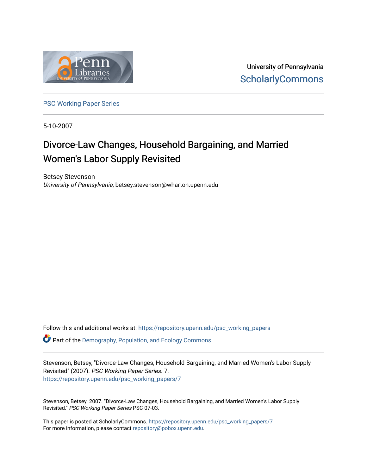

University of Pennsylvania **ScholarlyCommons** 

[PSC Working Paper Series](https://repository.upenn.edu/psc_working_papers) 

5-10-2007

# Divorce-Law Changes, Household Bargaining, and Married Women's Labor Supply Revisited

Betsey Stevenson University of Pennsylvania, betsey.stevenson@wharton.upenn.edu

Follow this and additional works at: [https://repository.upenn.edu/psc\\_working\\_papers](https://repository.upenn.edu/psc_working_papers?utm_source=repository.upenn.edu%2Fpsc_working_papers%2F7&utm_medium=PDF&utm_campaign=PDFCoverPages)  $\bullet$  Part of the Demography, Population, and Ecology Commons

Stevenson, Betsey, "Divorce-Law Changes, Household Bargaining, and Married Women's Labor Supply Revisited" (2007). PSC Working Paper Series. 7. [https://repository.upenn.edu/psc\\_working\\_papers/7](https://repository.upenn.edu/psc_working_papers/7?utm_source=repository.upenn.edu%2Fpsc_working_papers%2F7&utm_medium=PDF&utm_campaign=PDFCoverPages)

Stevenson, Betsey. 2007. "Divorce-Law Changes, Household Bargaining, and Married Women's Labor Supply Revisited." PSC Working Paper Series PSC 07-03.

This paper is posted at ScholarlyCommons. [https://repository.upenn.edu/psc\\_working\\_papers/7](https://repository.upenn.edu/psc_working_papers/7) For more information, please contact [repository@pobox.upenn.edu.](mailto:repository@pobox.upenn.edu)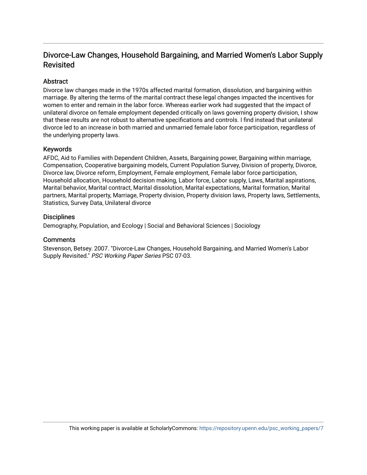# Divorce-Law Changes, Household Bargaining, and Married Women's Labor Supply Revisited

# **Abstract**

Divorce law changes made in the 1970s affected marital formation, dissolution, and bargaining within marriage. By altering the terms of the marital contract these legal changes impacted the incentives for women to enter and remain in the labor force. Whereas earlier work had suggested that the impact of unilateral divorce on female employment depended critically on laws governing property division, I show that these results are not robust to alternative specifications and controls. I find instead that unilateral divorce led to an increase in both married and unmarried female labor force participation, regardless of the underlying property laws.

#### Keywords

AFDC, Aid to Families with Dependent Children, Assets, Bargaining power, Bargaining within marriage, Compensation, Cooperative bargaining models, Current Population Survey, Division of property, Divorce, Divorce law, Divorce reform, Employment, Female employment, Female labor force participation, Household allocation, Household decision making, Labor force, Labor supply, Laws, Marital aspirations, Marital behavior, Marital contract, Marital dissolution, Marital expectations, Marital formation, Marital partners, Marital property, Marriage, Property division, Property division laws, Property laws, Settlements, Statistics, Survey Data, Unilateral divorce

#### **Disciplines**

Demography, Population, and Ecology | Social and Behavioral Sciences | Sociology

#### **Comments**

Stevenson, Betsey. 2007. "Divorce-Law Changes, Household Bargaining, and Married Women's Labor Supply Revisited." PSC Working Paper Series PSC 07-03.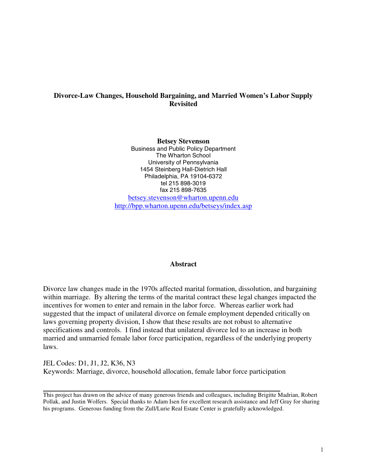# **Divorce-Law Changes, Household Bargaining, and Married Women's Labor Supply Revisited**

**Betsey Stevenson**

Business and Public Policy Department The Wharton School University of Pennsylvania 1454 Steinberg Hall-Dietrich Hall Philadelphia, PA 19104-6372 tel 215 898-3019 fax 215 898-7635

betsey.stevenson@wharton.upenn.edu http://bpp.wharton.upenn.edu/betseys/index.asp

#### **Abstract**

Divorce law changes made in the 1970s affected marital formation, dissolution, and bargaining within marriage. By altering the terms of the marital contract these legal changes impacted the incentives for women to enter and remain in the labor force. Whereas earlier work had suggested that the impact of unilateral divorce on female employment depended critically on laws governing property division, I show that these results are not robust to alternative specifications and controls. I find instead that unilateral divorce led to an increase in both married and unmarried female labor force participation, regardless of the underlying property laws.

JEL Codes: D1, J1, J2, K36, N3 Keywords: Marriage, divorce, household allocation, female labor force participation

This project has drawn on the advice of many generous friends and colleagues, including Brigitte Madrian, Robert Pollak, and Justin Wolfers. Special thanks to Adam Isen for excellent research assistance and Jeff Gray for sharing his programs. Generous funding from the Zull/Lurie Real Estate Center is gratefully acknowledged.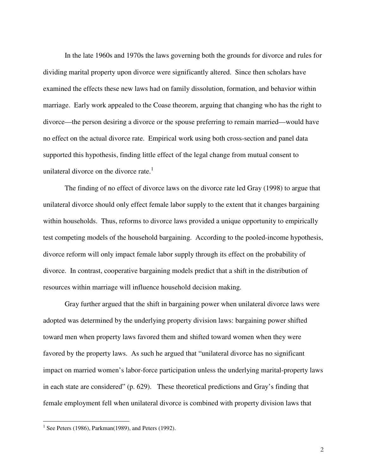In the late 1960s and 1970s the laws governing both the grounds for divorce and rules for dividing marital property upon divorce were significantly altered. Since then scholars have examined the effects these new laws had on family dissolution, formation, and behavior within marriage. Early work appealed to the Coase theorem, arguing that changing who has the right to divorce—the person desiring a divorce or the spouse preferring to remain married—would have no effect on the actual divorce rate. Empirical work using both cross-section and panel data supported this hypothesis, finding little effect of the legal change from mutual consent to unilateral divorce on the divorce rate.<sup>1</sup>

The finding of no effect of divorce laws on the divorce rate led Gray (1998) to argue that unilateral divorce should only effect female labor supply to the extent that it changes bargaining within households. Thus, reforms to divorce laws provided a unique opportunity to empirically test competing models of the household bargaining. According to the pooled-income hypothesis, divorce reform will only impact female labor supply through its effect on the probability of divorce. In contrast, cooperative bargaining models predict that a shift in the distribution of resources within marriage will influence household decision making.

Gray further argued that the shift in bargaining power when unilateral divorce laws were adopted was determined by the underlying property division laws: bargaining power shifted toward men when property laws favored them and shifted toward women when they were favored by the property laws. As such he argued that "unilateral divorce has no significant impact on married women's labor-force participation unless the underlying marital-property laws in each state are considered" (p. 629). These theoretical predictions and Gray's finding that female employment fell when unilateral divorce is combined with property division laws that

<sup>&</sup>lt;sup>1</sup> See Peters (1986), Parkman(1989), and Peters (1992).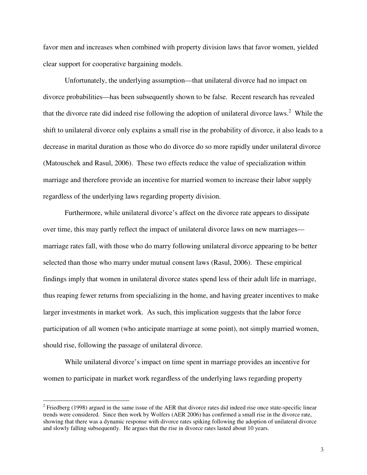favor men and increases when combined with property division laws that favor women, yielded clear support for cooperative bargaining models.

Unfortunately, the underlying assumption—that unilateral divorce had no impact on divorce probabilities—has been subsequently shown to be false. Recent research has revealed that the divorce rate did indeed rise following the adoption of unilateral divorce laws.<sup>2</sup> While the shift to unilateral divorce only explains a small rise in the probability of divorce, it also leads to a decrease in marital duration as those who do divorce do so more rapidly under unilateral divorce (Matouschek and Rasul, 2006). These two effects reduce the value of specialization within marriage and therefore provide an incentive for married women to increase their labor supply regardless of the underlying laws regarding property division.

Furthermore, while unilateral divorce's affect on the divorce rate appears to dissipate over time, this may partly reflect the impact of unilateral divorce laws on new marriages marriage rates fall, with those who do marry following unilateral divorce appearing to be better selected than those who marry under mutual consent laws (Rasul, 2006). These empirical findings imply that women in unilateral divorce states spend less of their adult life in marriage, thus reaping fewer returns from specializing in the home, and having greater incentives to make larger investments in market work. As such, this implication suggests that the labor force participation of all women (who anticipate marriage at some point), not simply married women, should rise, following the passage of unilateral divorce.

While unilateral divorce's impact on time spent in marriage provides an incentive for women to participate in market work regardless of the underlying laws regarding property

<sup>&</sup>lt;sup>2</sup> Friedberg (1998) argued in the same issue of the AER that divorce rates did indeed rise once state-specific linear trends were considered. Since then work by Wolfers (AER 2006) has confirmed a small rise in the divorce rate, showing that there was a dynamic response with divorce rates spiking following the adoption of unilateral divorce and slowly falling subsequently. He argues that the rise in divorce rates lasted about 10 years.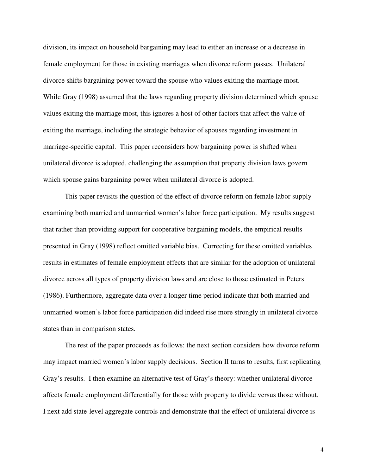division, its impact on household bargaining may lead to either an increase or a decrease in female employment for those in existing marriages when divorce reform passes. Unilateral divorce shifts bargaining power toward the spouse who values exiting the marriage most. While Gray (1998) assumed that the laws regarding property division determined which spouse values exiting the marriage most, this ignores a host of other factors that affect the value of exiting the marriage, including the strategic behavior of spouses regarding investment in marriage-specific capital. This paper reconsiders how bargaining power is shifted when unilateral divorce is adopted, challenging the assumption that property division laws govern which spouse gains bargaining power when unilateral divorce is adopted.

This paper revisits the question of the effect of divorce reform on female labor supply examining both married and unmarried women's labor force participation. My results suggest that rather than providing support for cooperative bargaining models, the empirical results presented in Gray (1998) reflect omitted variable bias. Correcting for these omitted variables results in estimates of female employment effects that are similar for the adoption of unilateral divorce across all types of property division laws and are close to those estimated in Peters (1986). Furthermore, aggregate data over a longer time period indicate that both married and unmarried women's labor force participation did indeed rise more strongly in unilateral divorce states than in comparison states.

The rest of the paper proceeds as follows: the next section considers how divorce reform may impact married women's labor supply decisions. Section II turns to results, first replicating Gray's results. I then examine an alternative test of Gray's theory: whether unilateral divorce affects female employment differentially for those with property to divide versus those without. I next add state-level aggregate controls and demonstrate that the effect of unilateral divorce is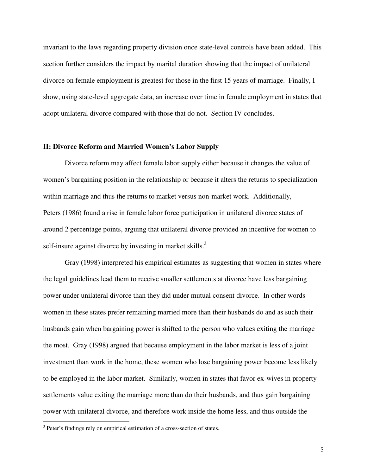invariant to the laws regarding property division once state-level controls have been added. This section further considers the impact by marital duration showing that the impact of unilateral divorce on female employment is greatest for those in the first 15 years of marriage. Finally, I show, using state-level aggregate data, an increase over time in female employment in states that adopt unilateral divorce compared with those that do not. Section IV concludes.

#### **II: Divorce Reform and Married Women's Labor Supply**

Divorce reform may affect female labor supply either because it changes the value of women's bargaining position in the relationship or because it alters the returns to specialization within marriage and thus the returns to market versus non-market work. Additionally, Peters (1986) found a rise in female labor force participation in unilateral divorce states of around 2 percentage points, arguing that unilateral divorce provided an incentive for women to self-insure against divorce by investing in market skills.<sup>3</sup>

Gray (1998) interpreted his empirical estimates as suggesting that women in states where the legal guidelines lead them to receive smaller settlements at divorce have less bargaining power under unilateral divorce than they did under mutual consent divorce. In other words women in these states prefer remaining married more than their husbands do and as such their husbands gain when bargaining power is shifted to the person who values exiting the marriage the most. Gray (1998) argued that because employment in the labor market is less of a joint investment than work in the home, these women who lose bargaining power become less likely to be employed in the labor market. Similarly, women in states that favor ex-wives in property settlements value exiting the marriage more than do their husbands, and thus gain bargaining power with unilateral divorce, and therefore work inside the home less, and thus outside the

<sup>&</sup>lt;sup>3</sup> Peter's findings rely on empirical estimation of a cross-section of states.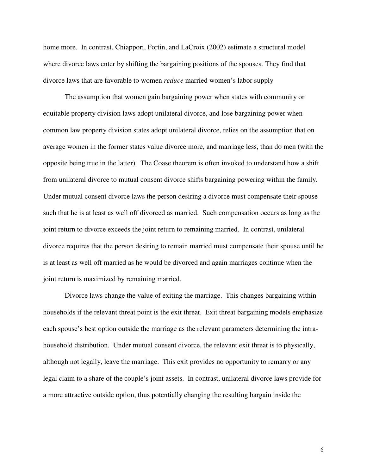home more. In contrast, Chiappori, Fortin, and LaCroix (2002) estimate a structural model where divorce laws enter by shifting the bargaining positions of the spouses. They find that divorce laws that are favorable to women *reduce* married women's labor supply

The assumption that women gain bargaining power when states with community or equitable property division laws adopt unilateral divorce, and lose bargaining power when common law property division states adopt unilateral divorce, relies on the assumption that on average women in the former states value divorce more, and marriage less, than do men (with the opposite being true in the latter). The Coase theorem is often invoked to understand how a shift from unilateral divorce to mutual consent divorce shifts bargaining powering within the family. Under mutual consent divorce laws the person desiring a divorce must compensate their spouse such that he is at least as well off divorced as married. Such compensation occurs as long as the joint return to divorce exceeds the joint return to remaining married. In contrast, unilateral divorce requires that the person desiring to remain married must compensate their spouse until he is at least as well off married as he would be divorced and again marriages continue when the joint return is maximized by remaining married.

Divorce laws change the value of exiting the marriage. This changes bargaining within households if the relevant threat point is the exit threat. Exit threat bargaining models emphasize each spouse's best option outside the marriage as the relevant parameters determining the intrahousehold distribution. Under mutual consent divorce, the relevant exit threat is to physically, although not legally, leave the marriage. This exit provides no opportunity to remarry or any legal claim to a share of the couple's joint assets. In contrast, unilateral divorce laws provide for a more attractive outside option, thus potentially changing the resulting bargain inside the

6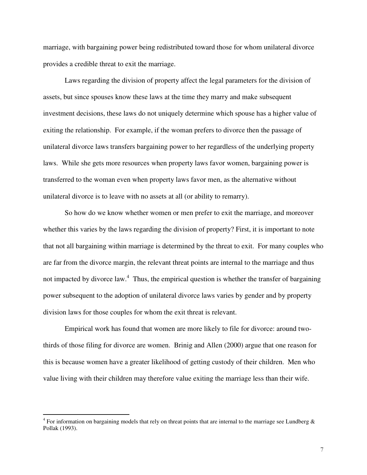marriage, with bargaining power being redistributed toward those for whom unilateral divorce provides a credible threat to exit the marriage.

Laws regarding the division of property affect the legal parameters for the division of assets, but since spouses know these laws at the time they marry and make subsequent investment decisions, these laws do not uniquely determine which spouse has a higher value of exiting the relationship. For example, if the woman prefers to divorce then the passage of unilateral divorce laws transfers bargaining power to her regardless of the underlying property laws. While she gets more resources when property laws favor women, bargaining power is transferred to the woman even when property laws favor men, as the alternative without unilateral divorce is to leave with no assets at all (or ability to remarry).

So how do we know whether women or men prefer to exit the marriage, and moreover whether this varies by the laws regarding the division of property? First, it is important to note that not all bargaining within marriage is determined by the threat to exit. For many couples who are far from the divorce margin, the relevant threat points are internal to the marriage and thus not impacted by divorce law.<sup>4</sup> Thus, the empirical question is whether the transfer of bargaining power subsequent to the adoption of unilateral divorce laws varies by gender and by property division laws for those couples for whom the exit threat is relevant.

Empirical work has found that women are more likely to file for divorce: around twothirds of those filing for divorce are women. Brinig and Allen (2000) argue that one reason for this is because women have a greater likelihood of getting custody of their children. Men who value living with their children may therefore value exiting the marriage less than their wife.

<sup>&</sup>lt;sup>4</sup> For information on bargaining models that rely on threat points that are internal to the marriage see Lundberg  $\&$ Pollak (1993).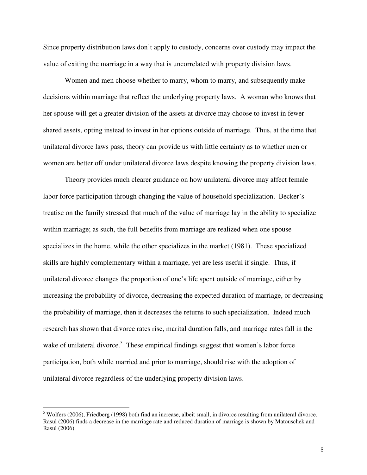Since property distribution laws don't apply to custody, concerns over custody may impact the value of exiting the marriage in a way that is uncorrelated with property division laws.

Women and men choose whether to marry, whom to marry, and subsequently make decisions within marriage that reflect the underlying property laws. A woman who knows that her spouse will get a greater division of the assets at divorce may choose to invest in fewer shared assets, opting instead to invest in her options outside of marriage. Thus, at the time that unilateral divorce laws pass, theory can provide us with little certainty as to whether men or women are better off under unilateral divorce laws despite knowing the property division laws.

Theory provides much clearer guidance on how unilateral divorce may affect female labor force participation through changing the value of household specialization. Becker's treatise on the family stressed that much of the value of marriage lay in the ability to specialize within marriage; as such, the full benefits from marriage are realized when one spouse specializes in the home, while the other specializes in the market (1981). These specialized skills are highly complementary within a marriage, yet are less useful if single. Thus, if unilateral divorce changes the proportion of one's life spent outside of marriage, either by increasing the probability of divorce, decreasing the expected duration of marriage, or decreasing the probability of marriage, then it decreases the returns to such specialization. Indeed much research has shown that divorce rates rise, marital duration falls, and marriage rates fall in the wake of unilateral divorce.<sup>5</sup> These empirical findings suggest that women's labor force participation, both while married and prior to marriage, should rise with the adoption of unilateral divorce regardless of the underlying property division laws.

<sup>&</sup>lt;sup>5</sup> Wolfers (2006), Friedberg (1998) both find an increase, albeit small, in divorce resulting from unilateral divorce. Rasul (2006) finds a decrease in the marriage rate and reduced duration of marriage is shown by Matouschek and Rasul (2006).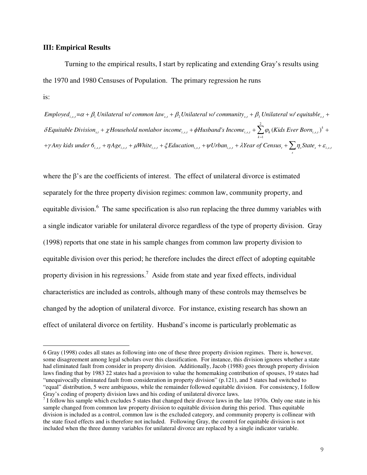#### **III: Empirical Results**

Turning to the empirical results, I start by replicating and extending Gray's results using the 1970 and 1980 Censuses of Population. The primary regression he runs is:

Employed<sub>i,s,i</sub>= $\alpha + \beta_1$ Unilateral w/common law<sub>s,t</sub> +  $\beta_2$ Unilateral w/community<sub>s,t</sub> +  $\beta_3$ Unilateral w/equitable<sub>s,t</sub> + 2  $\delta E$ quitable Division $_{_{s,t}}+ \chi H$ ousehold nonlabor income $_{_{i,s,t}}+ \phi H$ usband's Income $_{_{i,s,t}}+ \sum \varphi_k(K$ ids Ever Born $_{_{i,s,t}})^k$  $k = 1$  $\int_{i,s,t}^{i} f(t) \Delta S_{i,s,t}^{i} + \mu \text{ if the function } \int_{i,s,t}^{i} f(t) \Delta S_{i,s,t}^{i} + \mu \text{ if the function } \int_{i,s,t}^{i} f(t) \Delta S_{i,s,t}^{i} + \mu \text{ if the function } \int_{i,s,t}^{i} f(t) \Delta S_{i,s,t}^{i}$  $er\ Born_{i,s,t})^{k}+$  $A_n + \gamma A_n$  *kids* under  $\delta_{i,s,t} + \eta A g e_{i,s,t} + \mu White_{i,s,t} + \xi E du cation_{i,s,t} + \psi U rban_{i,s,t} + \lambda Year$  of  $Census_t + \sum_i \eta_s State_s + \varepsilon E$ 

where the  $\beta$ 's are the coefficients of interest. The effect of unilateral divorce is estimated separately for the three property division regimes: common law, community property, and equitable division.<sup>6</sup> The same specification is also run replacing the three dummy variables with a single indicator variable for unilateral divorce regardless of the type of property division. Gray (1998) reports that one state in his sample changes from common law property division to equitable division over this period; he therefore includes the direct effect of adopting equitable property division in his regressions.<sup>7</sup> Aside from state and year fixed effects, individual characteristics are included as controls, although many of these controls may themselves be changed by the adoption of unilateral divorce. For instance, existing research has shown an effect of unilateral divorce on fertility. Husband's income is particularly problematic as

<sup>6</sup> Gray (1998) codes all states as following into one of these three property division regimes. There is, however, some disagreement among legal scholars over this classification. For instance, this division ignores whether a state had eliminated fault from consider in property division. Additionally, Jacob (1988) goes through property division laws finding that by 1983 22 states had a provision to value the homemaking contribution of spouses, 19 states had "unequivocally eliminated fault from consideration in property division" (p.121), and 5 states had switched to "equal" distribution, 5 were ambiguous, while the remainder followed equitable division. For consistency, I follow Gray's coding of property division laws and his coding of unilateral divorce laws.<br><sup>7</sup> I follow his sample which excludes 5 states that changed their divorce laws in the late 1970s. Only one state in his

sample changed from common law property division to equitable division during this period. Thus equitable division is included as a control, common law is the excluded category, and community property is collinear with the state fixed effects and is therefore not included. Following Gray, the control for equitable division is not included when the three dummy variables for unilateral divorce are replaced by a single indicator variable.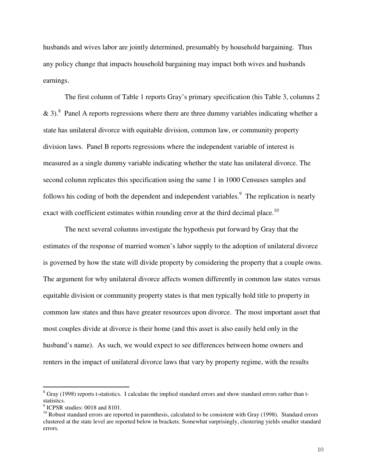husbands and wives labor are jointly determined, presumably by household bargaining. Thus any policy change that impacts household bargaining may impact both wives and husbands earnings.

The first column of Table 1 reports Gray's primary specification (his Table 3, columns 2 & 3).<sup>8</sup> Panel A reports regressions where there are three dummy variables indicating whether a state has unilateral divorce with equitable division, common law, or community property division laws. Panel B reports regressions where the independent variable of interest is measured as a single dummy variable indicating whether the state has unilateral divorce. The second column replicates this specification using the same 1 in 1000 Censuses samples and follows his coding of both the dependent and independent variables.<sup>9</sup> The replication is nearly exact with coefficient estimates within rounding error at the third decimal place.<sup>10</sup>

The next several columns investigate the hypothesis put forward by Gray that the estimates of the response of married women's labor supply to the adoption of unilateral divorce is governed by how the state will divide property by considering the property that a couple owns. The argument for why unilateral divorce affects women differently in common law states versus equitable division or community property states is that men typically hold title to property in common law states and thus have greater resources upon divorce. The most important asset that most couples divide at divorce is their home (and this asset is also easily held only in the husband's name). As such, we would expect to see differences between home owners and renters in the impact of unilateral divorce laws that vary by property regime, with the results

<sup>&</sup>lt;sup>8</sup> Gray (1998) reports t-statistics. I calculate the implied standard errors and show standard errors rather than t-

statistics.<br><sup>9</sup> ICPSR studies: 0018 and 8101.<br><sup>10</sup> Robust standard errors are reported in parenthesis, calculated to be consistent with Gray (1998). Standard errors clustered at the state level are reported below in brackets. Somewhat surprisingly, clustering yields smaller standard errors.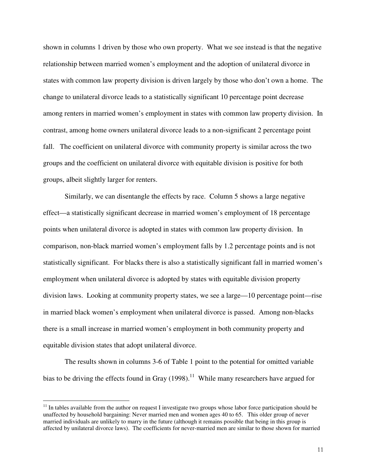shown in columns 1 driven by those who own property. What we see instead is that the negative relationship between married women's employment and the adoption of unilateral divorce in states with common law property division is driven largely by those who don't own a home. The change to unilateral divorce leads to a statistically significant 10 percentage point decrease among renters in married women's employment in states with common law property division. In contrast, among home owners unilateral divorce leads to a non-significant 2 percentage point fall. The coefficient on unilateral divorce with community property is similar across the two groups and the coefficient on unilateral divorce with equitable division is positive for both groups, albeit slightly larger for renters.

Similarly, we can disentangle the effects by race. Column 5 shows a large negative effect—a statistically significant decrease in married women's employment of 18 percentage points when unilateral divorce is adopted in states with common law property division. In comparison, non-black married women's employment falls by 1.2 percentage points and is not statistically significant. For blacks there is also a statistically significant fall in married women's employment when unilateral divorce is adopted by states with equitable division property division laws. Looking at community property states, we see a large—10 percentage point—rise in married black women's employment when unilateral divorce is passed. Among non-blacks there is a small increase in married women's employment in both community property and equitable division states that adopt unilateral divorce.

The results shown in columns 3-6 of Table 1 point to the potential for omitted variable bias to be driving the effects found in Gray  $(1998)$ .<sup>11</sup> While many researchers have argued for

 $11$  In tables available from the author on request I investigate two groups whose labor force participation should be unaffected by household bargaining: Never married men and women ages 40 to 65. This older group of never married individuals are unlikely to marry in the future (although it remains possible that being in this group is affected by unilateral divorce laws). The coefficients for never-married men are similar to those shown for married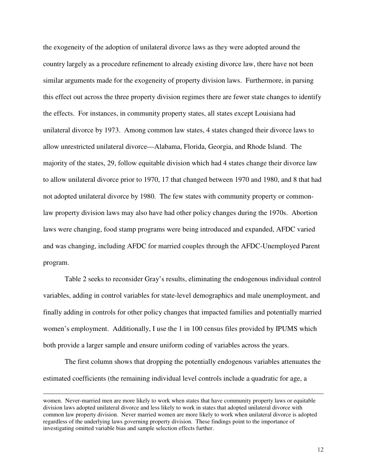the exogeneity of the adoption of unilateral divorce laws as they were adopted around the country largely as a procedure refinement to already existing divorce law, there have not been similar arguments made for the exogeneity of property division laws. Furthermore, in parsing this effect out across the three property division regimes there are fewer state changes to identify the effects. For instances, in community property states, all states except Louisiana had unilateral divorce by 1973. Among common law states, 4 states changed their divorce laws to allow unrestricted unilateral divorce—Alabama, Florida, Georgia, and Rhode Island. The majority of the states, 29, follow equitable division which had 4 states change their divorce law to allow unilateral divorce prior to 1970, 17 that changed between 1970 and 1980, and 8 that had not adopted unilateral divorce by 1980. The few states with community property or commonlaw property division laws may also have had other policy changes during the 1970s. Abortion laws were changing, food stamp programs were being introduced and expanded, AFDC varied and was changing, including AFDC for married couples through the AFDC-Unemployed Parent program.

Table 2 seeks to reconsider Gray's results, eliminating the endogenous individual control variables, adding in control variables for state-level demographics and male unemployment, and finally adding in controls for other policy changes that impacted families and potentially married women's employment. Additionally, I use the 1 in 100 census files provided by IPUMS which both provide a larger sample and ensure uniform coding of variables across the years.

The first column shows that dropping the potentially endogenous variables attenuates the estimated coefficients (the remaining individual level controls include a quadratic for age, a

women. Never-married men are more likely to work when states that have community property laws or equitable division laws adopted unilateral divorce and less likely to work in states that adopted unilateral divorce with common law property division. Never married women are more likely to work when unilateral divorce is adopted regardless of the underlying laws governing property division. These findings point to the importance of investigating omitted variable bias and sample selection effects further.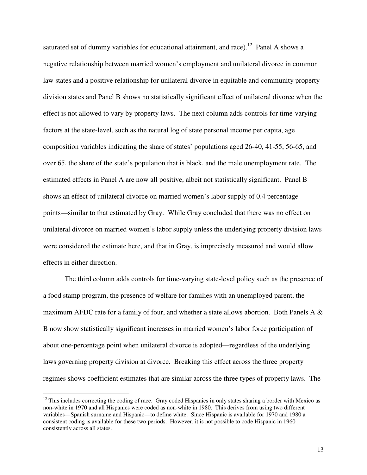saturated set of dummy variables for educational attainment, and race).<sup>12</sup> Panel A shows a negative relationship between married women's employment and unilateral divorce in common law states and a positive relationship for unilateral divorce in equitable and community property division states and Panel B shows no statistically significant effect of unilateral divorce when the effect is not allowed to vary by property laws. The next column adds controls for time-varying factors at the state-level, such as the natural log of state personal income per capita, age composition variables indicating the share of states' populations aged 26-40, 41-55, 56-65, and over 65, the share of the state's population that is black, and the male unemployment rate. The estimated effects in Panel A are now all positive, albeit not statistically significant. Panel B shows an effect of unilateral divorce on married women's labor supply of 0.4 percentage points—similar to that estimated by Gray. While Gray concluded that there was no effect on unilateral divorce on married women's labor supply unless the underlying property division laws were considered the estimate here, and that in Gray, is imprecisely measured and would allow effects in either direction.

The third column adds controls for time-varying state-level policy such as the presence of a food stamp program, the presence of welfare for families with an unemployed parent, the maximum AFDC rate for a family of four, and whether a state allows abortion. Both Panels A  $\&$ B now show statistically significant increases in married women's labor force participation of about one-percentage point when unilateral divorce is adopted—regardless of the underlying laws governing property division at divorce. Breaking this effect across the three property regimes shows coefficient estimates that are similar across the three types of property laws. The

 $12$  This includes correcting the coding of race. Gray coded Hispanics in only states sharing a border with Mexico as non-white in 1970 and all Hispanics were coded as non-white in 1980. This derives from using two different variables—Spanish surname and Hispanic—to define white. Since Hispanic is available for 1970 and 1980 a consistent coding is available for these two periods. However, it is not possible to code Hispanic in 1960 consistently across all states.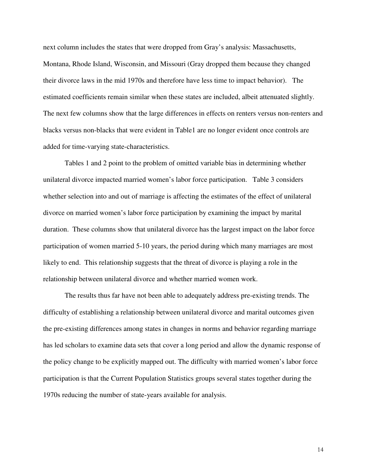next column includes the states that were dropped from Gray's analysis: Massachusetts, Montana, Rhode Island, Wisconsin, and Missouri (Gray dropped them because they changed their divorce laws in the mid 1970s and therefore have less time to impact behavior). The estimated coefficients remain similar when these states are included, albeit attenuated slightly. The next few columns show that the large differences in effects on renters versus non-renters and blacks versus non-blacks that were evident in Table1 are no longer evident once controls are added for time-varying state-characteristics.

Tables 1 and 2 point to the problem of omitted variable bias in determining whether unilateral divorce impacted married women's labor force participation. Table 3 considers whether selection into and out of marriage is affecting the estimates of the effect of unilateral divorce on married women's labor force participation by examining the impact by marital duration. These columns show that unilateral divorce has the largest impact on the labor force participation of women married 5-10 years, the period during which many marriages are most likely to end. This relationship suggests that the threat of divorce is playing a role in the relationship between unilateral divorce and whether married women work.

The results thus far have not been able to adequately address pre-existing trends. The difficulty of establishing a relationship between unilateral divorce and marital outcomes given the pre-existing differences among states in changes in norms and behavior regarding marriage has led scholars to examine data sets that cover a long period and allow the dynamic response of the policy change to be explicitly mapped out. The difficulty with married women's labor force participation is that the Current Population Statistics groups several states together during the 1970s reducing the number of state-years available for analysis.

14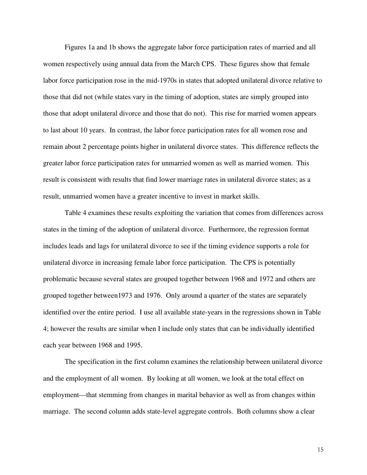Figures 1a and 1b shows the aggregate labor force participation rates of married and all women respectively using annual data from the March CPS. These figures show that female labor force participation rose in the mid-1970s in states that adopted unilateral divorce relative to those that did not (while states vary in the timing of adoption, states are simply grouped into those that adopt unilateral divorce and those that do not). This rise for married women appears to last about 10 years. In contrast, the labor force participation rates for all women rose and remain about 2 percentage points higher in unilateral divorce states. This difference reflects the greater labor force participation rates for unmarried women as well as married women. This result is consistent with results that find lower marriage rates in unilateral divorce states; as a result, unmarried women have a greater incentive to invest in market skills.

Table 4 examines these results exploiting the variation that comes from differences across states in the timing of the adoption of unilateral divorce. Furthermore, the regression format includes leads and lags for unilateral divorce to see if the timing evidence supports a role for unilateral divorce in increasing female labor force participation. The CPS is potentially problematic because several states are grouped together between 1968 and 1972 and others are grouped together between1973 and 1976. Only around a quarter of the states are separately identified over the entire period. I use all available state-years in the regressions shown in Table 4; however the results are similar when I include only states that can be individually identified each year between 1968 and 1995.

The specification in the first column examines the relationship between unilateral divorce and the employment of all women. By looking at all women, we look at the total effect on employment—that stemming from changes in marital behavior as well as from changes within marriage. The second column adds state-level aggregate controls. Both columns show a clear

15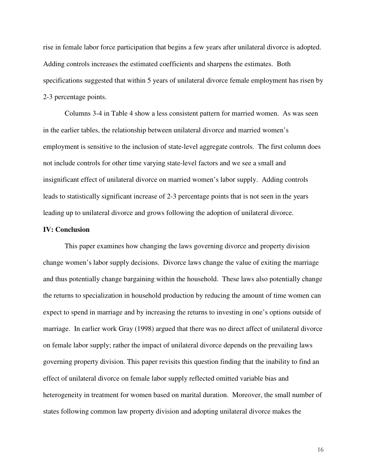rise in female labor force participation that begins a few years after unilateral divorce is adopted. Adding controls increases the estimated coefficients and sharpens the estimates. Both specifications suggested that within 5 years of unilateral divorce female employment has risen by 2-3 percentage points.

Columns 3-4 in Table 4 show a less consistent pattern for married women. As was seen in the earlier tables, the relationship between unilateral divorce and married women's employment is sensitive to the inclusion of state-level aggregate controls. The first column does not include controls for other time varying state-level factors and we see a small and insignificant effect of unilateral divorce on married women's labor supply. Adding controls leads to statistically significant increase of 2-3 percentage points that is not seen in the years leading up to unilateral divorce and grows following the adoption of unilateral divorce.

#### **IV: Conclusion**

This paper examines how changing the laws governing divorce and property division change women's labor supply decisions. Divorce laws change the value of exiting the marriage and thus potentially change bargaining within the household. These laws also potentially change the returns to specialization in household production by reducing the amount of time women can expect to spend in marriage and by increasing the returns to investing in one's options outside of marriage. In earlier work Gray (1998) argued that there was no direct affect of unilateral divorce on female labor supply; rather the impact of unilateral divorce depends on the prevailing laws governing property division. This paper revisits this question finding that the inability to find an effect of unilateral divorce on female labor supply reflected omitted variable bias and heterogeneity in treatment for women based on marital duration. Moreover, the small number of states following common law property division and adopting unilateral divorce makes the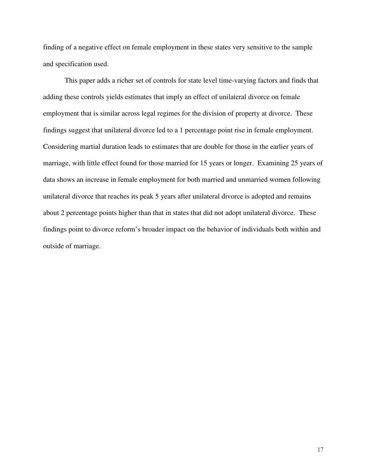finding of a negative effect on female employment in these states very sensitive to the sample and specification used.

This paper adds a richer set of controls for state level time-varying factors and finds that adding these controls yields estimates that imply an effect of unilateral divorce on female employment that is similar across legal regimes for the division of property at divorce. These findings suggest that unilateral divorce led to a 1 percentage point rise in female employment. Considering martial duration leads to estimates that are double for those in the earlier years of marriage, with little effect found for those married for 15 years or longer. Examining 25 years of data shows an increase in female employment for both married and unmarried women following unilateral divorce that reaches its peak 5 years after unilateral divorce is adopted and remains about 2 percentage points higher than that in states that did not adopt unilateral divorce. These findings point to divorce reform's broader impact on the behavior of individuals both within and outside of marriage.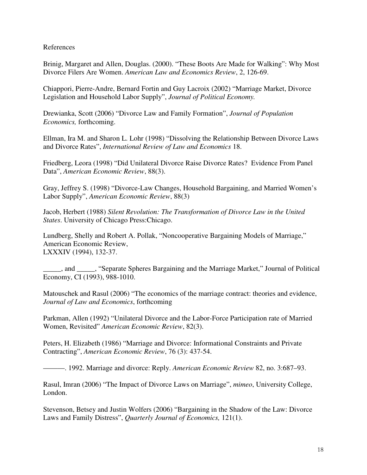### References

Brinig, Margaret and Allen, Douglas. (2000). "These Boots Are Made for Walking": Why Most Divorce Filers Are Women. *American Law and Economics Review*, 2, 126-69.

Chiappori, Pierre-Andre, Bernard Fortin and Guy Lacroix (2002) "Marriage Market, Divorce Legislation and Household Labor Supply", *Journal of Political Economy.*

Drewianka, Scott (2006) "Divorce Law and Family Formation", *Journal of Population Economics,* forthcoming.

Ellman, Ira M. and Sharon L. Lohr (1998) "Dissolving the Relationship Between Divorce Laws and Divorce Rates", *International Review of Law and Economics* 18.

Friedberg, Leora (1998) "Did Unilateral Divorce Raise Divorce Rates? Evidence From Panel Data", *American Economic Review*, 88(3).

Gray, Jeffrey S. (1998) "Divorce-Law Changes, Household Bargaining, and Married Women's Labor Supply", *American Economic Review*, 88(3)

Jacob, Herbert (1988) *Silent Revolution: The Transformation of Divorce Law in the United States*. University of Chicago Press:Chicago.

Lundberg, Shelly and Robert A. Pollak, "Noncooperative Bargaining Models of Marriage," American Economic Review, LXXXIV (1994), 132-37.

\_\_\_\_\_, and \_\_\_\_\_, "Separate Spheres Bargaining and the Marriage Market," Journal of Political Economy, CI (1993), 988-1010.

Matouschek and Rasul (2006) "The economics of the marriage contract: theories and evidence, *Journal of Law and Economics*, forthcoming

Parkman, Allen (1992) "Unilateral Divorce and the Labor-Force Participation rate of Married Women, Revisited" *American Economic Review*, 82(3).

Peters, H. Elizabeth (1986) "Marriage and Divorce: Informational Constraints and Private Contracting", *American Economic Review*, 76 (3): 437-54.

———. 1992. Marriage and divorce: Reply. *American Economic Review* 82, no. 3:687–93.

Rasul, Imran (2006) "The Impact of Divorce Laws on Marriage", *mimeo*, University College, London.

Stevenson, Betsey and Justin Wolfers (2006) "Bargaining in the Shadow of the Law: Divorce Laws and Family Distress", *Quarterly Journal of Economics,* 121(1).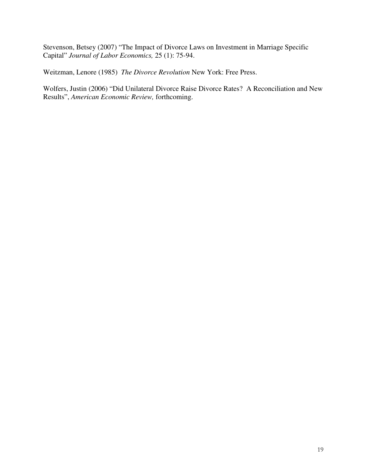Stevenson, Betsey (2007) "The Impact of Divorce Laws on Investment in Marriage Specific Capital" *Journal of Labor Economics,* 25 (1): 75-94.

Weitzman, Lenore (1985) *The Divorce Revolution* New York: Free Press.

Wolfers, Justin (2006) "Did Unilateral Divorce Raise Divorce Rates? A Reconciliation and New Results", *American Economic Review,* forthcoming.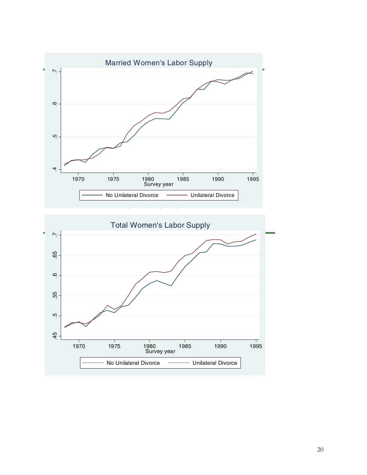

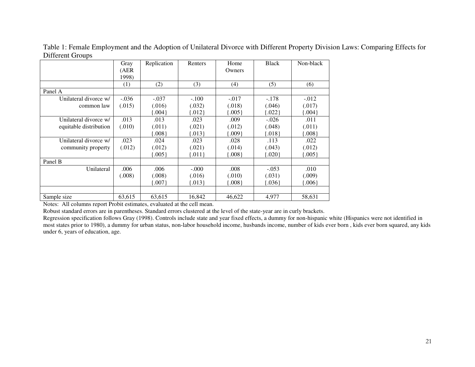|                        | Gray          | Replication | <b>Renters</b> | Home       | <b>Black</b> | Non-black  |
|------------------------|---------------|-------------|----------------|------------|--------------|------------|
|                        | (AER<br>1998) |             |                | Owners     |              |            |
|                        | (1)           | (2)         | (3)            | (4)        | (5)          | (6)        |
| Panel A                |               |             |                |            |              |            |
| Unilateral divorce w/  | $-.036$       | $-.037$     | $-.100$        | $-.017$    | $-.178$      | $-.012$    |
| common law             | (.015)        | (.016)      | (.032)         | (.018)     | (.046)       | (.017)     |
|                        |               | .004        | .012           | 0.005      | ${0.022}$    | ${004}$    |
| Unilateral divorce w/  | .013          | .013        | .023           | .009       | $-.026$      | .011       |
| equitable distribution | (.010)        | (.011)      | (.021)         | (.012)     | (.048)       | (.011)     |
|                        |               | 008         | [.013]         | 009        | ${018}$      | $\{.008\}$ |
| Unilateral divorce w/  | .023          | .024        | .023           | .028       | .113         | .022       |
| community property     | (.012)        | (.012)      | (.021)         | (.014)     | (.043)       | (.012)     |
|                        |               | 0.005       | ${011}$        | 008        | ${0.020}$    | ${0.005}$  |
| Panel B                |               |             |                |            |              |            |
| Unilateral             | .006          | .006        | $-.000$        | .008       | $-.053$      | .010       |
|                        | (.008)        | (.008)      | (.016)         | (.010)     | (.031)       | (.009)     |
|                        |               | ${007}$     | ${013}$        | $\{.008\}$ | ${036}$      | ${006}$    |
|                        |               |             |                |            |              |            |
| Sample size            | 63,615        | 63,615      | 16,842         | 46.622     | 4,977        | 58,631     |

Table 1: Female Employment and the Adoption of Unilateral Divorce with Different Property Division Laws: Comparing Effects for Different Groups

Notes: All columns repor<sup>t</sup> Probit estimates, evaluated at the cell mean.

Robust standard errors are in parentheses. Standard errors clustered at the level of the state-year are in curly brackets.

Regression specification follows Gray (1998). Controls include state and year fixed effects, <sup>a</sup> dummy for non-hispanic white (Hispanics were not identified in most states prior to 1980), <sup>a</sup> dummy for urban status, non-labor household income, husbands income, number of kids ever born , kids ever born squared, any kids under 6, years of education, age.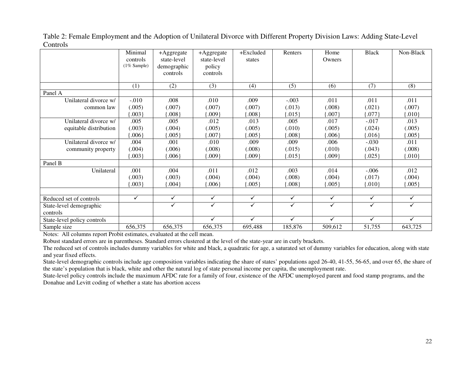|                             | Minimal<br>controls | +Aggregate<br>state-level | +Aggregate<br>state-level | +Excluded<br>states | Renters      | Home<br>Owners | <b>Black</b> | Non-Black    |
|-----------------------------|---------------------|---------------------------|---------------------------|---------------------|--------------|----------------|--------------|--------------|
|                             | $(1\%$ Sample)      | demographic               | policy                    |                     |              |                |              |              |
|                             |                     | controls                  | controls                  |                     |              |                |              |              |
|                             |                     |                           |                           |                     |              |                |              |              |
|                             | (1)                 | (2)                       | (3)                       | (4)                 | (5)          | (6)            | (7)          | (8)          |
| Panel A                     |                     |                           |                           |                     |              |                |              |              |
| Unilateral divorce w/       | $-.010$             | .008                      | .010                      | .009                | $-.003$      | .011           | .011         | .011         |
| common law                  | (.005)              | (.007)                    | (.007)                    | (.007)              | (.013)       | (.008)         | (.021)       | (.007)       |
|                             | .003                | .008                      | .009                      | .008                | $.015\}$     | .007           | .077         | ${010}$      |
| Unilateral divorce w/       | .005                | .005                      | .012                      | .013                | .005         | .017           | $-.017$      | .013         |
| equitable distribution      | (.003)              | (.004)                    | (.005)                    | (.005)              | (.010)       | (.005)         | (.024)       | (.005)       |
|                             | 006                 | 0.005                     | .007                      | .005                | .008         | .006           | .016         | $005\}$      |
| Unilateral divorce w/       | .004                | .001                      | .010                      | .009                | .009         | .006           | $-.030$      | .011         |
| community property          | (.004)              | (.006)                    | (.008)                    | (.008)              | (.015)       | (.010)         | (.043)       | (.008)       |
|                             | 003                 | 006                       | .009                      | .009                | ${015}$      | .009           | .025         | ${010}$      |
| Panel B                     |                     |                           |                           |                     |              |                |              |              |
| Unilateral                  | .001                | .004                      | .011                      | .012                | .003         | .014           | $-.006$      | .012         |
|                             | (.003)              | (.003)                    | (.004)                    | (.004)              | (.008)       | (.004)         | (.017)       | (.004)       |
|                             | $.003\}$            | 004                       | $.006\}$                  | $.005\}$            | $.008\}$     | $.005\}$       | .010         | $.005\}$     |
|                             |                     |                           |                           |                     |              |                |              |              |
| Reduced set of controls     | $\checkmark$        | ✓                         | $\checkmark$              | $\checkmark$        | $\checkmark$ | $\checkmark$   | $\checkmark$ | $\checkmark$ |
| State-level demographic     |                     | ✓                         | $\checkmark$              | ✓                   | ✓            | $\checkmark$   | $\checkmark$ | ✓            |
| controls                    |                     |                           |                           |                     |              |                |              |              |
| State-level policy controls |                     |                           | ✓                         | $\checkmark$        | ✓            | $\checkmark$   | $\checkmark$ | ✓            |
| Sample size                 | 656,375             | 656,375                   | 656,375                   | 695,488             | 185,876      | 509,612        | 51,755       | 643,725      |

Table 2: Female Employment and the Adoption of Unilateral Divorce with Different Property Division Laws: Adding State-Level Controls

Notes: All columns repor<sup>t</sup> Probit estimates, evaluated at the cell mean.

Robust standard errors are in parentheses. Standard errors clustered at the level of the state-year are in curly brackets.

The reduced set of controls includes dummy variables for white and black, <sup>a</sup> quadratic for age, <sup>a</sup> saturated set of dummy variables for education, along with state and year fixed effects.

State-level demographic controls include age composition variables indicating the share of states' populations aged 26-40, 41-55, 56-65, and over 65, the share of the state's population that is black, white and other the natural log of state personal income per capita, the unemployment rate.

State-level policy controls include the maximum AFDC rate for <sup>a</sup> family of four, existence of the AFDC unemployed paren<sup>t</sup> and food stamp programs, and the Donahue and Levitt coding of whether <sup>a</sup> state has abortion access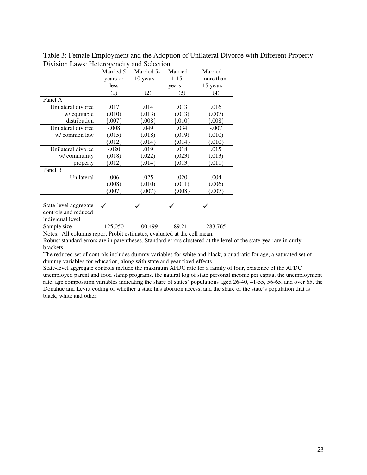|                       | Married 5 | Married 5- | Married   | Married   |
|-----------------------|-----------|------------|-----------|-----------|
|                       | years or  | 10 years   | $11 - 15$ | more than |
|                       | less      |            | years     | 15 years  |
|                       | (1)       | (2)        | (3)       | (4)       |
| Panel A               |           |            |           |           |
| Unilateral divorce    | .017      | .014       | .013      | .016      |
| w/ equitable          | (.010)    | (.013)     | (.013)    | (.007)    |
| distribution          | ${007}$   | ${008}$    | ${010}$   | ${0.008}$ |
| Unilateral divorce    | $-.008$   | .049       | .034      | $-.007$   |
| w/ common law         | (.015)    | (.018)     | (.019)    | (.010)    |
|                       | ${012}$   | ${014}$    | ${014}$   | ${010}$   |
| Unilateral divorce    | $-.020$   | .019       | .018      | .015      |
| w/community           | (.018)    | (.022)     | (.023)    | (.013)    |
| property              | ${012}$   | ${014}$    | ${013}$   | ${011}$   |
| Panel B               |           |            |           |           |
| Unilateral            | .006      | .025       | .020      | .004      |
|                       | (.008)    | (.010)     | (.011)    | (.006)    |
|                       | ${007}$   | ${007}$    | ${0.008}$ | ${007}$   |
|                       |           |            |           |           |
| State-level aggregate | ✓         |            |           |           |
| controls and reduced  |           |            |           |           |
| individual level      |           |            |           |           |
| Sample size           | 125,050   | 100,499    | 89,211    | 283,765   |

Table 3: Female Employment and the Adoption of Unilateral Divorce with Different Property Division Laws: Heterogeneity and Selection

Notes: All columns report Probit estimates, evaluated at the cell mean.

Robust standard errors are in parentheses. Standard errors clustered at the level of the state-year are in curly brackets.

The reduced set of controls includes dummy variables for white and black, a quadratic for age, a saturated set of dummy variables for education, along with state and year fixed effects.

State-level aggregate controls include the maximum AFDC rate for a family of four, existence of the AFDC unemployed parent and food stamp programs, the natural log of state personal income per capita, the unemployment rate, age composition variables indicating the share of states' populations aged 26-40, 41-55, 56-65, and over 65, the Donahue and Levitt coding of whether a state has abortion access, and the share of the state's population that is black, white and other.